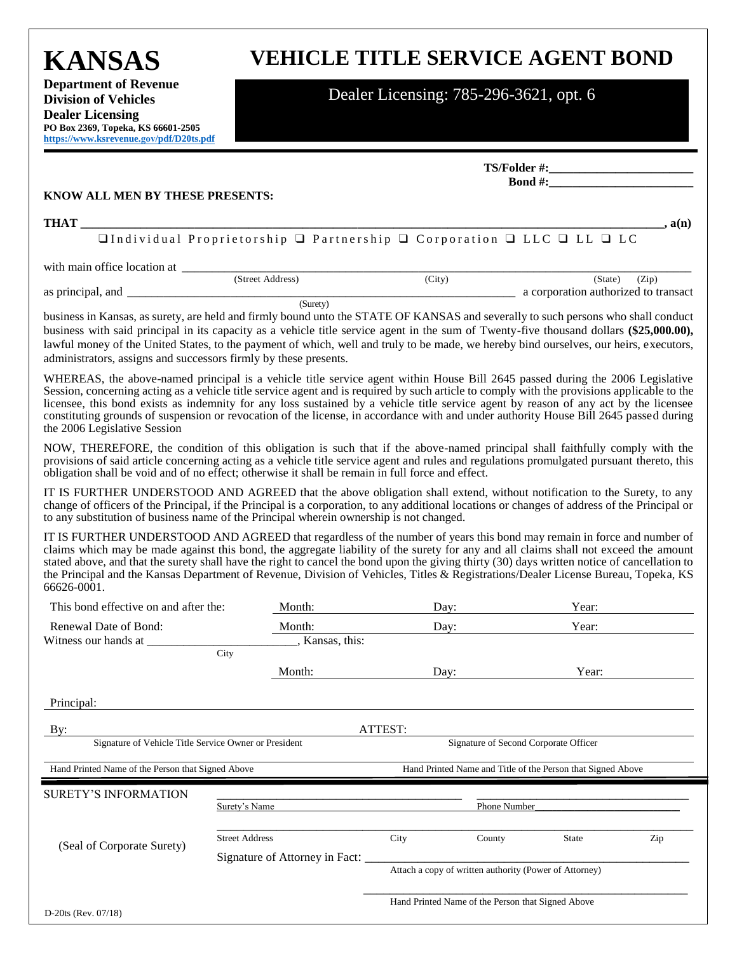**KANSAS Department of Revenue Division of Vehicles Dealer Licensing** 

**PO Box 2369, Topeka, KS 66601-2505 [https://www.ksrevenue.](https://www.ksrevenue.org/pdf/D20ts.pdf)gov/pdf/D20ts.pdf**

# **VEHICLE TITLE SERVICE AGENT BOND**

## Dealer Licensing: 785-296-3621, opt. 6

|                                                                  |                                                                                                                                                                                                                                                                                                                                                                                                                                                                                                                                                               |         | $\mathbf{Bond} \#$ :                                        |                             |  |
|------------------------------------------------------------------|---------------------------------------------------------------------------------------------------------------------------------------------------------------------------------------------------------------------------------------------------------------------------------------------------------------------------------------------------------------------------------------------------------------------------------------------------------------------------------------------------------------------------------------------------------------|---------|-------------------------------------------------------------|-----------------------------|--|
| KNOW ALL MEN BY THESE PRESENTS:                                  |                                                                                                                                                                                                                                                                                                                                                                                                                                                                                                                                                               |         |                                                             |                             |  |
| <b>THAT</b>                                                      |                                                                                                                                                                                                                                                                                                                                                                                                                                                                                                                                                               |         |                                                             | $\underline{\qquad}$ , a(n) |  |
|                                                                  | $\Box$ Individual Proprietorship $\Box$ Partnership $\Box$ Corporation $\Box$ LLC $\Box$ LL $\Box$ LC                                                                                                                                                                                                                                                                                                                                                                                                                                                         |         |                                                             |                             |  |
|                                                                  |                                                                                                                                                                                                                                                                                                                                                                                                                                                                                                                                                               |         |                                                             |                             |  |
|                                                                  |                                                                                                                                                                                                                                                                                                                                                                                                                                                                                                                                                               | (City)  | (State)<br>a corporation authorized to transact             | (Zip)                       |  |
| administrators, assigns and successors firmly by these presents. | (Surety)<br>business in Kansas, as surety, are held and firmly bound unto the STATE OF KANSAS and severally to such persons who shall conduct<br>business with said principal in its capacity as a vehicle title service agent in the sum of Twenty-five thousand dollars (\$25,000.00),<br>lawful money of the United States, to the payment of which, well and truly to be made, we hereby bind ourselves, our heirs, executors,                                                                                                                            |         |                                                             |                             |  |
| the 2006 Legislative Session                                     | WHEREAS, the above-named principal is a vehicle title service agent within House Bill 2645 passed during the 2006 Legislative<br>Session, concerning acting as a vehicle title service agent and is required by such article to comply with the provisions applicable to the<br>licensee, this bond exists as indemnity for any loss sustained by a vehicle title service agent by reason of any act by the licensee<br>constituting grounds of suspension or revocation of the license, in accordance with and under authority House Bill 2645 passed during |         |                                                             |                             |  |
|                                                                  | NOW, THEREFORE, the condition of this obligation is such that if the above-named principal shall faithfully comply with the<br>provisions of said article concerning acting as a vehicle title service agent and rules and regulations promulgated pursuant thereto, this<br>obligation shall be void and of no effect; otherwise it shall be remain in full force and effect.                                                                                                                                                                                |         |                                                             |                             |  |
|                                                                  | IT IS FURTHER UNDERSTOOD AND AGREED that the above obligation shall extend, without notification to the Surety, to any<br>change of officers of the Principal, if the Principal is a corporation, to any additional locations or changes of address of the Principal or<br>to any substitution of business name of the Principal wherein ownership is not changed.                                                                                                                                                                                            |         |                                                             |                             |  |
| 66626-0001.                                                      | IT IS FURTHER UNDERSTOOD AND AGREED that regardless of the number of years this bond may remain in force and number of<br>claims which may be made against this bond, the aggregate liability of the surety for any and all claims shall not exceed the amount<br>stated above, and that the surety shall have the right to cancel the bond upon the giving thirty (30) days written notice of cancellation to<br>the Principal and the Kansas Department of Revenue, Division of Vehicles, Titles & Registrations/Dealer License Bureau, Topeka, KS          |         |                                                             |                             |  |
| This bond effective on and after the:                            | Month:                                                                                                                                                                                                                                                                                                                                                                                                                                                                                                                                                        | Day:    | Year:                                                       |                             |  |
| Renewal Date of Bond:                                            | Month:                                                                                                                                                                                                                                                                                                                                                                                                                                                                                                                                                        |         | Year:<br>Day:                                               |                             |  |
|                                                                  | ____, Kansas, this:<br>City                                                                                                                                                                                                                                                                                                                                                                                                                                                                                                                                   |         |                                                             |                             |  |
|                                                                  | Month:                                                                                                                                                                                                                                                                                                                                                                                                                                                                                                                                                        | Dav:    | Year:                                                       |                             |  |
| Principal:                                                       |                                                                                                                                                                                                                                                                                                                                                                                                                                                                                                                                                               |         |                                                             |                             |  |
| By:                                                              |                                                                                                                                                                                                                                                                                                                                                                                                                                                                                                                                                               | ATTEST: |                                                             |                             |  |
| Signature of Vehicle Title Service Owner or President            |                                                                                                                                                                                                                                                                                                                                                                                                                                                                                                                                                               |         | Signature of Second Corporate Officer                       |                             |  |
| Hand Printed Name of the Person that Signed Above                |                                                                                                                                                                                                                                                                                                                                                                                                                                                                                                                                                               |         | Hand Printed Name and Title of the Person that Signed Above |                             |  |
| SURETY'S INFORMATION                                             |                                                                                                                                                                                                                                                                                                                                                                                                                                                                                                                                                               |         |                                                             |                             |  |
|                                                                  | Surety's Name                                                                                                                                                                                                                                                                                                                                                                                                                                                                                                                                                 |         | Phone Number                                                |                             |  |
| (Seal of Corporate Surety)                                       | <b>Street Address</b>                                                                                                                                                                                                                                                                                                                                                                                                                                                                                                                                         | City    | County<br><b>State</b>                                      | Zip                         |  |
|                                                                  | Signature of Attorney in Fact:                                                                                                                                                                                                                                                                                                                                                                                                                                                                                                                                |         | Attach a copy of written authority (Power of Attorney)      |                             |  |
|                                                                  |                                                                                                                                                                                                                                                                                                                                                                                                                                                                                                                                                               |         |                                                             |                             |  |
| $D-20$ ts (Rev. 07/18)                                           |                                                                                                                                                                                                                                                                                                                                                                                                                                                                                                                                                               |         | Hand Printed Name of the Person that Signed Above           |                             |  |